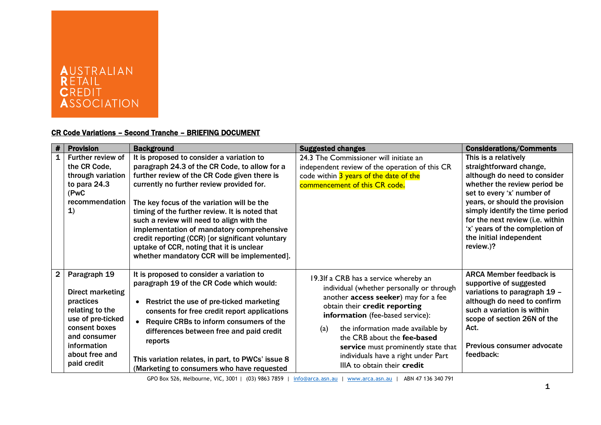

## CR Code Variations – Second Tranche – BRIEFING DOCUMENT

| #            | <b>Provision</b>                                                                                                                                                       | <b>Background</b>                                                                                                                                                                                                                                                                                                                                                                                                                                                                                                                | <b>Suggested changes</b>                                                                                                                                                                                                                                                                                                                                                                | <b>Considerations/Comments</b>                                                                                                                                                                                                                                                                                                   |
|--------------|------------------------------------------------------------------------------------------------------------------------------------------------------------------------|----------------------------------------------------------------------------------------------------------------------------------------------------------------------------------------------------------------------------------------------------------------------------------------------------------------------------------------------------------------------------------------------------------------------------------------------------------------------------------------------------------------------------------|-----------------------------------------------------------------------------------------------------------------------------------------------------------------------------------------------------------------------------------------------------------------------------------------------------------------------------------------------------------------------------------------|----------------------------------------------------------------------------------------------------------------------------------------------------------------------------------------------------------------------------------------------------------------------------------------------------------------------------------|
| $\mathbf{1}$ | Further review of<br>the CR Code,<br>through variation<br>to para 24.3<br>(PwC<br>recommendation<br>$\mathbf{1}$                                                       | It is proposed to consider a variation to<br>paragraph 24.3 of the CR Code, to allow for a<br>further review of the CR Code given there is<br>currently no further review provided for.<br>The key focus of the variation will be the<br>timing of the further review. It is noted that<br>such a review will need to align with the<br>implementation of mandatory comprehensive<br>credit reporting (CCR) [or significant voluntary<br>uptake of CCR, noting that it is unclear<br>whether mandatory CCR will be implemented]. | 24.3 The Commissioner will initiate an<br>independent review of the operation of this CR<br>code within 3 years of the date of the<br>commencement of this CR code.                                                                                                                                                                                                                     | This is a relatively<br>straightforward change,<br>although do need to consider<br>whether the review period be<br>set to every 'x' number of<br>years, or should the provision<br>simply identify the time period<br>for the next review (i.e. within<br>'x' years of the completion of<br>the initial independent<br>review.)? |
| $\mathbf{2}$ | Paragraph 19<br>Direct marketing<br>practices<br>relating to the<br>use of pre-ticked<br>consent boxes<br>and consumer<br>information<br>about free and<br>paid credit | It is proposed to consider a variation to<br>paragraph 19 of the CR Code which would:<br>Restrict the use of pre-ticked marketing<br>$\bullet$<br>consents for free credit report applications<br>Require CRBs to inform consumers of the<br>differences between free and paid credit<br>reports<br>This variation relates, in part, to PWCs' issue 8<br>(Marketing to consumers who have requested                                                                                                                              | 19.3If a CRB has a service whereby an<br>individual (whether personally or through<br>another access seeker) may for a fee<br>obtain their credit reporting<br>information (fee-based service):<br>the information made available by<br>(a)<br>the CRB about the fee-based<br>service must prominently state that<br>individuals have a right under Part<br>IIIA to obtain their credit | <b>ARCA Member feedback is</b><br>supportive of suggested<br>variations to paragraph 19 -<br>although do need to confirm<br>such a variation is within<br>scope of section 26N of the<br>Act.<br>Previous consumer advocate<br>feedback:                                                                                         |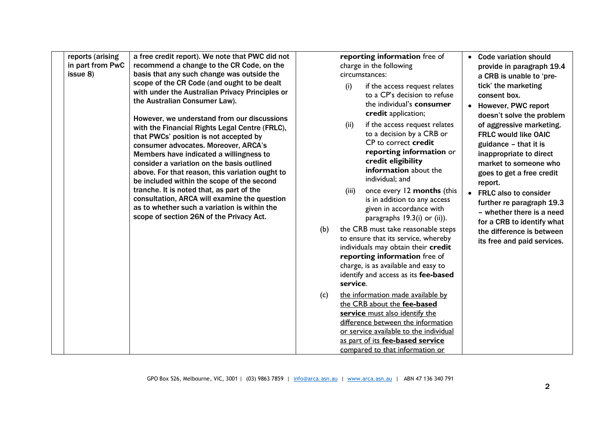| reports (arising<br>in part from PwC<br>issue 8) | a free credit report). We note that PWC did not<br>recommend a change to the CR Code, on the<br>basis that any such change was outside the<br>scope of the CR Code (and ought to be dealt<br>with under the Australian Privacy Principles or<br>the Australian Consumer Law).<br>However, we understand from our discussions<br>with the Financial Rights Legal Centre (FRLC),<br>that PWCs' position is not accepted by<br>consumer advocates. Moreover, ARCA's<br>Members have indicated a willingness to<br>consider a variation on the basis outlined<br>above. For that reason, this variation ought to<br>be included within the scope of the second<br>tranche. It is noted that, as part of the<br>consultation, ARCA will examine the question<br>as to whether such a variation is within the<br>scope of section 26N of the Privacy Act. | (b)<br>(c) | reporting information free of<br>charge in the following<br>circumstances:<br>(i)<br>if the access request relates<br>to a CP's decision to refuse<br>the individual's consumer<br>credit application;<br>if the access request relates<br>(ii)<br>to a decision by a CRB or<br>CP to correct credit<br>reporting information or<br>credit eligibility<br>information about the<br>individual; and<br>once every 12 months (this<br>(iii)<br>is in addition to any access<br>given in accordance with<br>paragraphs $19.3(i)$ or (ii)).<br>the CRB must take reasonable steps<br>to ensure that its service, whereby<br>individuals may obtain their credit<br>reporting information free of<br>charge, is as available and easy to<br>identify and access as its fee-based<br>service.<br>the information made available by<br>the CRB about the fee-based<br>service must also identify the<br>difference between the information<br>or service available to the individual<br>as part of its fee-based service | • Code variation should<br>provide in paragraph 19.4<br>a CRB is unable to 'pre-<br>tick' the marketing<br>consent box.<br>• However, PWC report<br>doesn't solve the problem<br>of aggressive marketing.<br><b>FRLC would like OAIC</b><br>guidance - that it is<br>inappropriate to direct<br>market to someone who<br>goes to get a free credit<br>report.<br>• FRLC also to consider<br>further re paragraph 19.3<br>- whether there is a need<br>for a CRB to identify what<br>the difference is between<br>its free and paid services. |
|--------------------------------------------------|-----------------------------------------------------------------------------------------------------------------------------------------------------------------------------------------------------------------------------------------------------------------------------------------------------------------------------------------------------------------------------------------------------------------------------------------------------------------------------------------------------------------------------------------------------------------------------------------------------------------------------------------------------------------------------------------------------------------------------------------------------------------------------------------------------------------------------------------------------|------------|-------------------------------------------------------------------------------------------------------------------------------------------------------------------------------------------------------------------------------------------------------------------------------------------------------------------------------------------------------------------------------------------------------------------------------------------------------------------------------------------------------------------------------------------------------------------------------------------------------------------------------------------------------------------------------------------------------------------------------------------------------------------------------------------------------------------------------------------------------------------------------------------------------------------------------------------------------------------------------------------------------------------|----------------------------------------------------------------------------------------------------------------------------------------------------------------------------------------------------------------------------------------------------------------------------------------------------------------------------------------------------------------------------------------------------------------------------------------------------------------------------------------------------------------------------------------------|
|                                                  |                                                                                                                                                                                                                                                                                                                                                                                                                                                                                                                                                                                                                                                                                                                                                                                                                                                     |            | compared to that information or                                                                                                                                                                                                                                                                                                                                                                                                                                                                                                                                                                                                                                                                                                                                                                                                                                                                                                                                                                                   |                                                                                                                                                                                                                                                                                                                                                                                                                                                                                                                                              |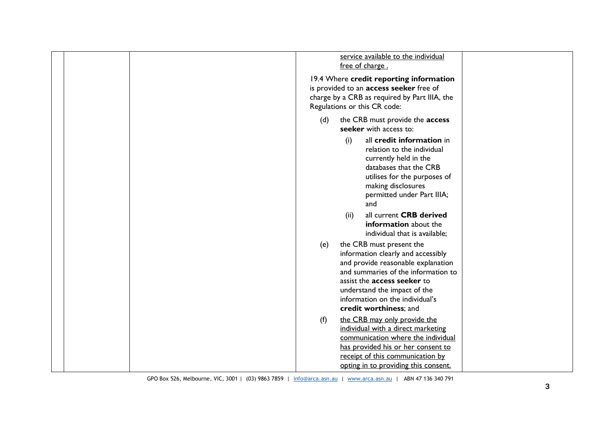| service available to the individual<br>free of charge.<br>19.4 Where credit reporting information<br>is provided to an access seeker free of<br>charge by a CRB as required by Part IIIA, the<br>Regulations or this CR code:                                                         |
|---------------------------------------------------------------------------------------------------------------------------------------------------------------------------------------------------------------------------------------------------------------------------------------|
| the CRB must provide the access<br>(d)<br>seeker with access to:                                                                                                                                                                                                                      |
| all credit information in<br>(i)<br>relation to the individual<br>currently held in the<br>databases that the CRB<br>utilises for the purposes of<br>making disclosures<br>permitted under Part IIIA;<br>and                                                                          |
| all current CRB derived<br>(ii)<br>information about the<br>individual that is available;                                                                                                                                                                                             |
| the CRB must present the<br>(e)<br>information clearly and accessibly<br>and provide reasonable explanation<br>and summaries of the information to<br>assist the <b>access seeker</b> to<br>understand the impact of the<br>information on the individual's<br>credit worthiness; and |
| (f)<br>the CRB may only provide the<br>individual with a direct marketing<br>communication where the individual<br>has provided his or her consent to<br>receipt of this communication by<br>opting in to providing this consent.                                                     |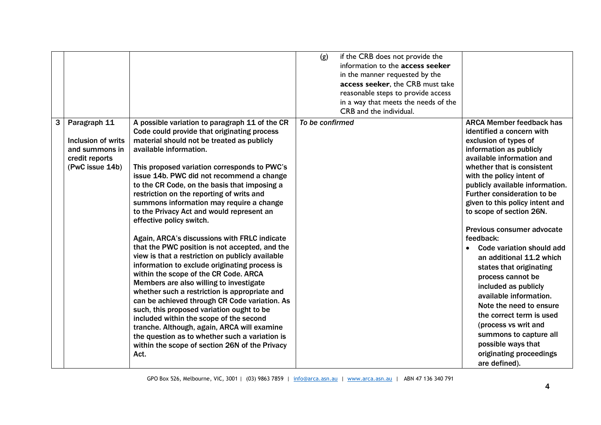|   |                                                                                           |                                                                                                                                                                                                                                                                                                                                                                                                                                                                                                                                                                                                                                                                                                                                                                                                                                                                                                                                                                                                                                                                                                                                      | (g)<br>if the CRB does not provide the<br>information to the access seeker<br>in the manner requested by the<br>access seeker, the CRB must take<br>reasonable steps to provide access<br>in a way that meets the needs of the<br>CRB and the individual. |                                                                                                                                                                                                                                                                                                                                                                                                                                                                                                                                                                                                                                                                                                                                         |
|---|-------------------------------------------------------------------------------------------|--------------------------------------------------------------------------------------------------------------------------------------------------------------------------------------------------------------------------------------------------------------------------------------------------------------------------------------------------------------------------------------------------------------------------------------------------------------------------------------------------------------------------------------------------------------------------------------------------------------------------------------------------------------------------------------------------------------------------------------------------------------------------------------------------------------------------------------------------------------------------------------------------------------------------------------------------------------------------------------------------------------------------------------------------------------------------------------------------------------------------------------|-----------------------------------------------------------------------------------------------------------------------------------------------------------------------------------------------------------------------------------------------------------|-----------------------------------------------------------------------------------------------------------------------------------------------------------------------------------------------------------------------------------------------------------------------------------------------------------------------------------------------------------------------------------------------------------------------------------------------------------------------------------------------------------------------------------------------------------------------------------------------------------------------------------------------------------------------------------------------------------------------------------------|
| 3 | Paragraph 11<br>Inclusion of writs<br>and summons in<br>credit reports<br>(PwC issue 14b) | A possible variation to paragraph 11 of the CR<br>Code could provide that originating process<br>material should not be treated as publicly<br>available information.<br>This proposed variation corresponds to PWC's<br>issue 14b. PWC did not recommend a change<br>to the CR Code, on the basis that imposing a<br>restriction on the reporting of writs and<br>summons information may require a change<br>to the Privacy Act and would represent an<br>effective policy switch.<br>Again, ARCA's discussions with FRLC indicate<br>that the PWC position is not accepted, and the<br>view is that a restriction on publicly available<br>information to exclude originating process is<br>within the scope of the CR Code. ARCA<br>Members are also willing to investigate<br>whether such a restriction is appropriate and<br>can be achieved through CR Code variation. As<br>such, this proposed variation ought to be<br>included within the scope of the second<br>tranche. Although, again, ARCA will examine<br>the question as to whether such a variation is<br>within the scope of section 26N of the Privacy<br>Act. | To be confirmed                                                                                                                                                                                                                                           | <b>ARCA Member feedback has</b><br>identified a concern with<br>exclusion of types of<br>information as publicly<br>available information and<br>whether that is consistent<br>with the policy intent of<br>publicly available information.<br>Further consideration to be<br>given to this policy intent and<br>to scope of section 26N.<br>Previous consumer advocate<br>feedback:<br>Code variation should add<br>$\bullet$<br>an additional 11.2 which<br>states that originating<br>process cannot be<br>included as publicly<br>available information.<br>Note the need to ensure<br>the correct term is used<br>(process vs writ and<br>summons to capture all<br>possible ways that<br>originating proceedings<br>are defined). |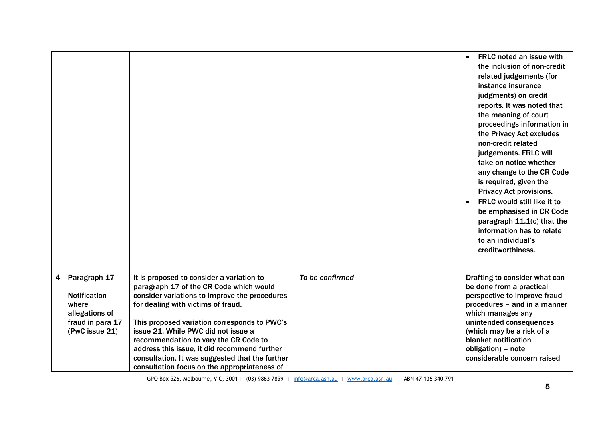|   |                                                                                                      |                                                                                                                                                                                                                                                                                                                                                                                                                                                                |                 | <b>FRLC</b> noted an issue with<br>$\bullet$<br>the inclusion of non-credit<br>related judgements (for<br>instance insurance<br>judgments) on credit<br>reports. It was noted that<br>the meaning of court<br>proceedings information in<br>the Privacy Act excludes<br>non-credit related<br>judgements. FRLC will<br>take on notice whether<br>any change to the CR Code<br>is required, given the<br><b>Privacy Act provisions.</b><br>FRLC would still like it to<br>be emphasised in CR Code<br>paragraph $11.1(c)$ that the<br>information has to relate<br>to an individual's<br>creditworthiness. |
|---|------------------------------------------------------------------------------------------------------|----------------------------------------------------------------------------------------------------------------------------------------------------------------------------------------------------------------------------------------------------------------------------------------------------------------------------------------------------------------------------------------------------------------------------------------------------------------|-----------------|-----------------------------------------------------------------------------------------------------------------------------------------------------------------------------------------------------------------------------------------------------------------------------------------------------------------------------------------------------------------------------------------------------------------------------------------------------------------------------------------------------------------------------------------------------------------------------------------------------------|
| 4 | Paragraph 17<br><b>Notification</b><br>where<br>allegations of<br>fraud in para 17<br>(PwC issue 21) | It is proposed to consider a variation to<br>paragraph 17 of the CR Code which would<br>consider variations to improve the procedures<br>for dealing with victims of fraud.<br>This proposed variation corresponds to PWC's<br>issue 21. While PWC did not issue a<br>recommendation to vary the CR Code to<br>address this issue, it did recommend further<br>consultation. It was suggested that the further<br>consultation focus on the appropriateness of | To be confirmed | Drafting to consider what can<br>be done from a practical<br>perspective to improve fraud<br>procedures - and in a manner<br>which manages any<br>unintended consequences<br>(which may be a risk of a<br>blanket notification<br>obligation) - note<br>considerable concern raised                                                                                                                                                                                                                                                                                                                       |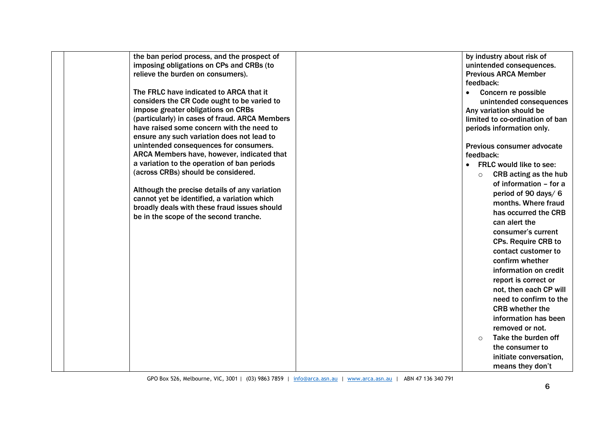| the ban period process, and the prospect of<br>imposing obligations on CPs and CRBs (to<br>relieve the burden on consumers).                                                                                                                                                                                                                                      | by industry about risk of<br>unintended consequences.<br><b>Previous ARCA Member</b>                                                                                                                           |
|-------------------------------------------------------------------------------------------------------------------------------------------------------------------------------------------------------------------------------------------------------------------------------------------------------------------------------------------------------------------|----------------------------------------------------------------------------------------------------------------------------------------------------------------------------------------------------------------|
| The FRLC have indicated to ARCA that it<br>considers the CR Code ought to be varied to<br>impose greater obligations on CRBs<br>(particularly) in cases of fraud. ARCA Members<br>have raised some concern with the need to<br>ensure any such variation does not lead to<br>unintended consequences for consumers.<br>ARCA Members have, however, indicated that | feedback:<br>Concern re possible<br>$\bullet$<br>unintended consequences<br>Any variation should be<br>limited to co-ordination of ban<br>periods information only.<br>Previous consumer advocate<br>feedback: |
| a variation to the operation of ban periods<br>(across CRBs) should be considered.<br>Although the precise details of any variation                                                                                                                                                                                                                               | <b>FRLC would like to see:</b><br>$\bullet$<br>CRB acting as the hub<br>$\circ$<br>of information - for a<br>period of 90 days/6                                                                               |
| cannot yet be identified, a variation which<br>broadly deals with these fraud issues should<br>be in the scope of the second tranche.                                                                                                                                                                                                                             | months. Where fraud<br>has occurred the CRB<br>can alert the<br>consumer's current                                                                                                                             |
|                                                                                                                                                                                                                                                                                                                                                                   | <b>CPs. Require CRB to</b><br>contact customer to<br>confirm whether<br>information on credit                                                                                                                  |
|                                                                                                                                                                                                                                                                                                                                                                   | report is correct or<br>not, then each CP will<br>need to confirm to the<br><b>CRB</b> whether the                                                                                                             |
|                                                                                                                                                                                                                                                                                                                                                                   | information has been<br>removed or not.<br>Take the burden off<br>$\circ$<br>the consumer to                                                                                                                   |
|                                                                                                                                                                                                                                                                                                                                                                   | initiate conversation,<br>means they don't                                                                                                                                                                     |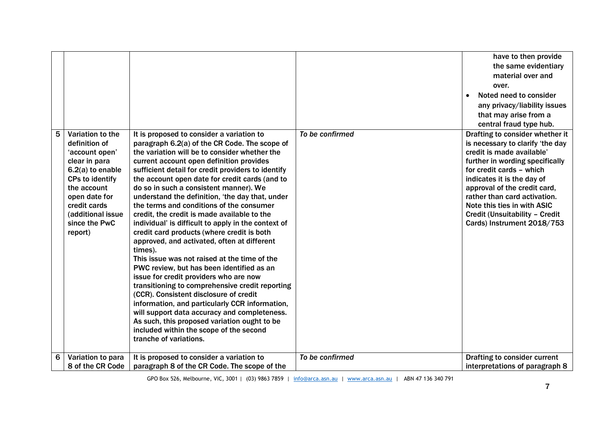|   |                                                                                                                                                                                                              |                                                                                                                                                                                                                                                                                                                                                                                                                                                                                                                                                                                                                                                                                                                                                                                                                                                                                                                                                                                                                                                                                                                   |                 | have to then provide<br>the same evidentiary<br>material over and<br>over.<br>Noted need to consider<br>$\bullet$<br>any privacy/liability issues<br>that may arise from a<br>central fraud type hub.                                                                                                                                                        |
|---|--------------------------------------------------------------------------------------------------------------------------------------------------------------------------------------------------------------|-------------------------------------------------------------------------------------------------------------------------------------------------------------------------------------------------------------------------------------------------------------------------------------------------------------------------------------------------------------------------------------------------------------------------------------------------------------------------------------------------------------------------------------------------------------------------------------------------------------------------------------------------------------------------------------------------------------------------------------------------------------------------------------------------------------------------------------------------------------------------------------------------------------------------------------------------------------------------------------------------------------------------------------------------------------------------------------------------------------------|-----------------|--------------------------------------------------------------------------------------------------------------------------------------------------------------------------------------------------------------------------------------------------------------------------------------------------------------------------------------------------------------|
| 5 | Variation to the<br>definition of<br>'account open'<br>clear in para<br>6.2(a) to enable<br>CPs to identify<br>the account<br>open date for<br>credit cards<br>(additional issue<br>since the PwC<br>report) | It is proposed to consider a variation to<br>paragraph 6.2(a) of the CR Code. The scope of<br>the variation will be to consider whether the<br>current account open definition provides<br>sufficient detail for credit providers to identify<br>the account open date for credit cards (and to<br>do so in such a consistent manner). We<br>understand the definition, 'the day that, under<br>the terms and conditions of the consumer<br>credit, the credit is made available to the<br>individual' is difficult to apply in the context of<br>credit card products (where credit is both<br>approved, and activated, often at different<br>times).<br>This issue was not raised at the time of the<br>PWC review, but has been identified as an<br>issue for credit providers who are now<br>transitioning to comprehensive credit reporting<br>(CCR). Consistent disclosure of credit<br>information, and particularly CCR information,<br>will support data accuracy and completeness.<br>As such, this proposed variation ought to be<br>included within the scope of the second<br>tranche of variations. | To be confirmed | Drafting to consider whether it<br>is necessary to clarify 'the day<br>credit is made available'<br>further in wording specifically<br>for credit cards - which<br>indicates it is the day of<br>approval of the credit card,<br>rather than card activation.<br>Note this ties in with ASIC<br>Credit (Unsuitability - Credit<br>Cards) Instrument 2018/753 |
| 6 | Variation to para<br>8 of the CR Code                                                                                                                                                                        | It is proposed to consider a variation to<br>paragraph 8 of the CR Code. The scope of the                                                                                                                                                                                                                                                                                                                                                                                                                                                                                                                                                                                                                                                                                                                                                                                                                                                                                                                                                                                                                         | To be confirmed | Drafting to consider current<br>interpretations of paragraph 8                                                                                                                                                                                                                                                                                               |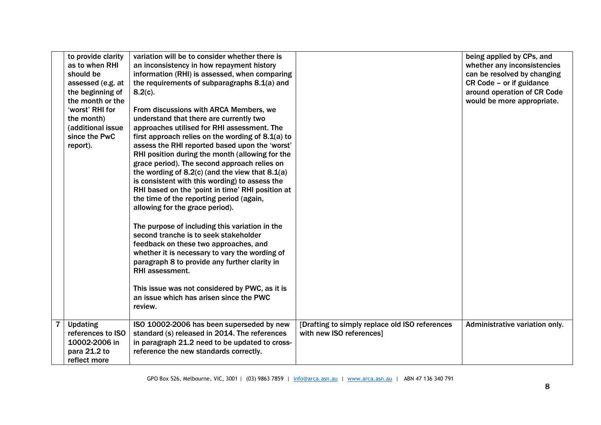| to provide clarity<br>as to when RHI<br>should be<br>assessed (e.g. at<br>the beginning of<br>the month or the<br>'worst' RHI for<br>the month)<br>(additional issue<br>since the PwC<br>report). | variation will be to consider whether there is<br>an inconsistency in how repayment history<br>information (RHI) is assessed, when comparing<br>the requirements of subparagraphs 8.1(a) and<br>$8.2(c)$ .<br>From discussions with ARCA Members, we<br>understand that there are currently two<br>approaches utilised for RHI assessment. The<br>first approach relies on the wording of $8.1(a)$ to<br>assess the RHI reported based upon the 'worst'<br>RHI position during the month (allowing for the<br>grace period). The second approach relies on<br>the wording of $8.2(c)$ (and the view that $8.1(a)$<br>is consistent with this wording) to assess the<br>RHI based on the 'point in time' RHI position at<br>the time of the reporting period (again,<br>allowing for the grace period).<br>The purpose of including this variation in the<br>second tranche is to seek stakeholder<br>feedback on these two approaches, and<br>whether it is necessary to vary the wording of<br>paragraph 8 to provide any further clarity in<br><b>RHI</b> assessment.<br>This issue was not considered by PWC, as it is<br>an issue which has arisen since the PWC<br>review. |                                                                            | being applied by CPs, and<br>whether any inconsistencies<br>can be resolved by changing<br>CR Code - or if guidance<br>around operation of CR Code<br>would be more appropriate. |
|---------------------------------------------------------------------------------------------------------------------------------------------------------------------------------------------------|---------------------------------------------------------------------------------------------------------------------------------------------------------------------------------------------------------------------------------------------------------------------------------------------------------------------------------------------------------------------------------------------------------------------------------------------------------------------------------------------------------------------------------------------------------------------------------------------------------------------------------------------------------------------------------------------------------------------------------------------------------------------------------------------------------------------------------------------------------------------------------------------------------------------------------------------------------------------------------------------------------------------------------------------------------------------------------------------------------------------------------------------------------------------------------|----------------------------------------------------------------------------|----------------------------------------------------------------------------------------------------------------------------------------------------------------------------------|
| <b>Updating</b><br>references to ISO<br>10002-2006 in<br>para 21.2 to<br>reflect more                                                                                                             | ISO 10002-2006 has been superseded by new<br>standard (s) released in 2014. The references<br>in paragraph 21.2 need to be updated to cross-<br>reference the new standards correctly.                                                                                                                                                                                                                                                                                                                                                                                                                                                                                                                                                                                                                                                                                                                                                                                                                                                                                                                                                                                          | [Drafting to simply replace old ISO references<br>with new ISO references] | Administrative variation only.                                                                                                                                                   |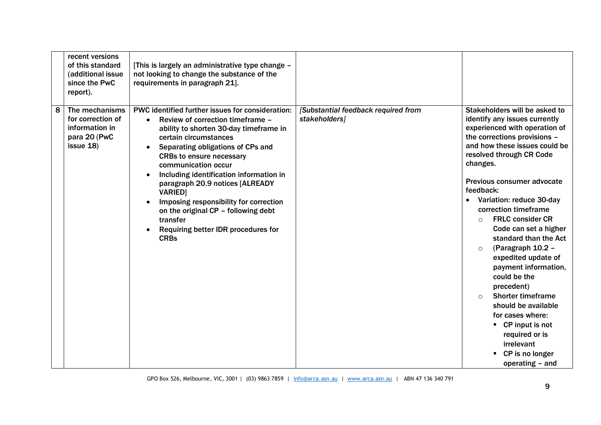|   | recent versions<br>of this standard<br>(additional issue<br>since the PwC<br>report). | [This is largely an administrative type change -<br>not looking to change the substance of the<br>requirements in paragraph 21].                                                                                                                                                                                                                                                                                                                                                                         |                                                      |                                                                                                                                                                                                                                                                                                                                                                                                                                                                                                                                                                                                                                                                                                                       |
|---|---------------------------------------------------------------------------------------|----------------------------------------------------------------------------------------------------------------------------------------------------------------------------------------------------------------------------------------------------------------------------------------------------------------------------------------------------------------------------------------------------------------------------------------------------------------------------------------------------------|------------------------------------------------------|-----------------------------------------------------------------------------------------------------------------------------------------------------------------------------------------------------------------------------------------------------------------------------------------------------------------------------------------------------------------------------------------------------------------------------------------------------------------------------------------------------------------------------------------------------------------------------------------------------------------------------------------------------------------------------------------------------------------------|
| 8 | The mechanisms<br>for correction of<br>information in<br>para 20 (PwC<br>issue 18)    | PWC identified further issues for consideration:<br>Review of correction timeframe -<br>ability to shorten 30-day timeframe in<br>certain circumstances<br>Separating obligations of CPs and<br><b>CRBs to ensure necessary</b><br>communication occur<br>Including identification information in<br>paragraph 20.9 notices [ALREADY<br><b>VARIED</b><br>Imposing responsibility for correction<br>on the original CP - following debt<br>transfer<br>Requiring better IDR procedures for<br><b>CRBs</b> | [Substantial feedback required from<br>stakeholders] | Stakeholders will be asked to<br>identify any issues currently<br>experienced with operation of<br>the corrections provisions -<br>and how these issues could be<br>resolved through CR Code<br>changes.<br>Previous consumer advocate<br>feedback:<br>Variation: reduce 30-day<br>$\bullet$<br>correction timeframe<br><b>FRLC consider CR</b><br>$\circ$<br>Code can set a higher<br>standard than the Act<br>(Paragraph 10.2 -<br>$\circ$<br>expedited update of<br>payment information,<br>could be the<br>precedent)<br><b>Shorter timeframe</b><br>$\bigcap$<br>should be available<br>for cases where:<br>$\blacksquare$ CP input is not<br>required or is<br>irrelevant<br>CP is no longer<br>operating - and |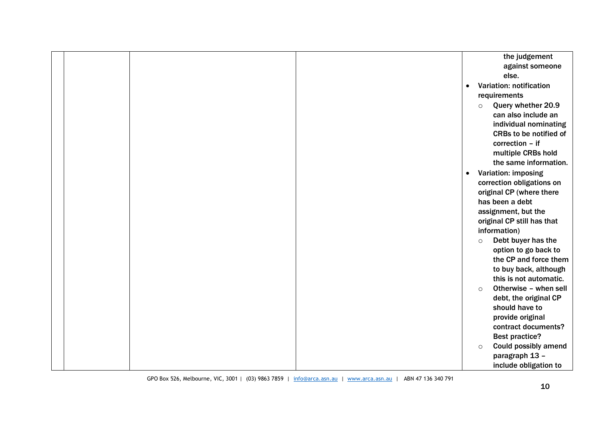|  |  |           | the judgement               |
|--|--|-----------|-----------------------------|
|  |  |           | against someone             |
|  |  |           | else.                       |
|  |  | $\bullet$ | Variation: notification     |
|  |  |           | requirements                |
|  |  | $\circ$   | Query whether 20.9          |
|  |  |           | can also include an         |
|  |  |           | individual nominating       |
|  |  |           | CRBs to be notified of      |
|  |  |           | correction - if             |
|  |  |           | multiple CRBs hold          |
|  |  |           | the same information.       |
|  |  | $\bullet$ | <b>Variation: imposing</b>  |
|  |  |           | correction obligations on   |
|  |  |           | original CP (where there    |
|  |  |           | has been a debt             |
|  |  |           | assignment, but the         |
|  |  |           | original CP still has that  |
|  |  |           | information)                |
|  |  | $\circ$   | Debt buyer has the          |
|  |  |           | option to go back to        |
|  |  |           | the CP and force them       |
|  |  |           | to buy back, although       |
|  |  |           | this is not automatic.      |
|  |  | $\circ$   | Otherwise - when sell       |
|  |  |           | debt, the original CP       |
|  |  |           | should have to              |
|  |  |           | provide original            |
|  |  |           | contract documents?         |
|  |  |           | <b>Best practice?</b>       |
|  |  | $\circ$   | <b>Could possibly amend</b> |
|  |  |           | paragraph 13 -              |
|  |  |           | include obligation to       |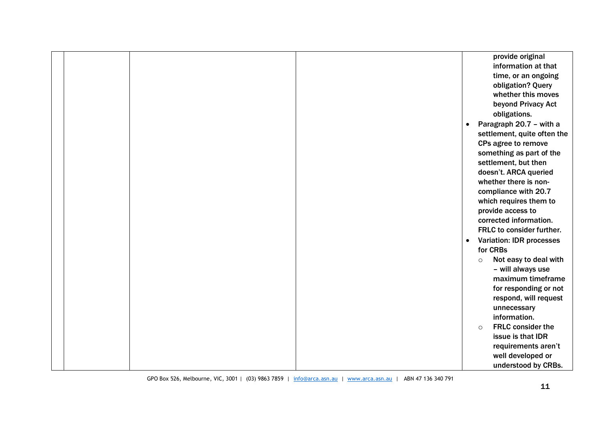|  |  |           | provide original                |
|--|--|-----------|---------------------------------|
|  |  |           | information at that             |
|  |  |           | time, or an ongoing             |
|  |  |           | obligation? Query               |
|  |  |           | whether this moves              |
|  |  |           | beyond Privacy Act              |
|  |  |           | obligations.                    |
|  |  | $\bullet$ | Paragraph 20.7 - with a         |
|  |  |           | settlement, quite often the     |
|  |  |           | CPs agree to remove             |
|  |  |           | something as part of the        |
|  |  |           | settlement, but then            |
|  |  |           | doesn't. ARCA queried           |
|  |  |           | whether there is non-           |
|  |  |           | compliance with 20.7            |
|  |  |           | which requires them to          |
|  |  |           | provide access to               |
|  |  |           | corrected information.          |
|  |  |           | FRLC to consider further.       |
|  |  | $\bullet$ | <b>Variation: IDR processes</b> |
|  |  |           | for CRBs                        |
|  |  | $\circ$   | Not easy to deal with           |
|  |  |           | - will always use               |
|  |  |           | maximum timeframe               |
|  |  |           | for responding or not           |
|  |  |           | respond, will request           |
|  |  |           | unnecessary                     |
|  |  |           | information.                    |
|  |  | $\circ$   | <b>FRLC</b> consider the        |
|  |  |           | issue is that IDR               |
|  |  |           | requirements aren't             |
|  |  |           | well developed or               |
|  |  |           | understood by CRBs.             |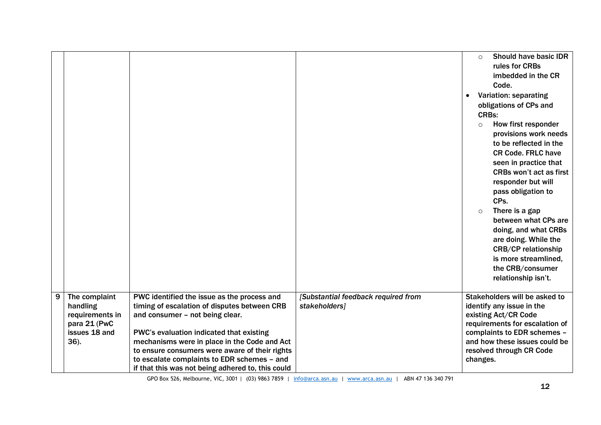|   |                                                                                       |                                                                                                                                                                                                                                                                                                                                                                                  |                                                      | Should have basic IDR<br>$\circ$<br>rules for CRBs<br>imbedded in the CR<br>Code.<br>Variation: separating<br>$\bullet$<br>obligations of CPs and<br><b>CRBs:</b><br>How first responder<br>$\circ$<br>provisions work needs<br>to be reflected in the<br><b>CR Code. FRLC have</b><br>seen in practice that<br><b>CRBs won't act as first</b><br>responder but will<br>pass obligation to<br>CPs.<br>There is a gap<br>$\circ$<br>between what CPs are<br>doing, and what CRBs<br>are doing. While the<br><b>CRB/CP relationship</b><br>is more streamlined, |
|---|---------------------------------------------------------------------------------------|----------------------------------------------------------------------------------------------------------------------------------------------------------------------------------------------------------------------------------------------------------------------------------------------------------------------------------------------------------------------------------|------------------------------------------------------|---------------------------------------------------------------------------------------------------------------------------------------------------------------------------------------------------------------------------------------------------------------------------------------------------------------------------------------------------------------------------------------------------------------------------------------------------------------------------------------------------------------------------------------------------------------|
|   |                                                                                       |                                                                                                                                                                                                                                                                                                                                                                                  |                                                      | the CRB/consumer<br>relationship isn't.                                                                                                                                                                                                                                                                                                                                                                                                                                                                                                                       |
| 9 | The complaint<br>handling<br>requirements in<br>para 21 (PwC<br>issues 18 and<br>36). | PWC identified the issue as the process and<br>timing of escalation of disputes between CRB<br>and consumer - not being clear.<br>PWC's evaluation indicated that existing<br>mechanisms were in place in the Code and Act<br>to ensure consumers were aware of their rights<br>to escalate complaints to EDR schemes - and<br>if that this was not being adhered to, this could | [Substantial feedback required from<br>stakeholders] | Stakeholders will be asked to<br>identify any issue in the<br>existing Act/CR Code<br>requirements for escalation of<br>complaints to EDR schemes -<br>and how these issues could be<br>resolved through CR Code<br>changes.                                                                                                                                                                                                                                                                                                                                  |